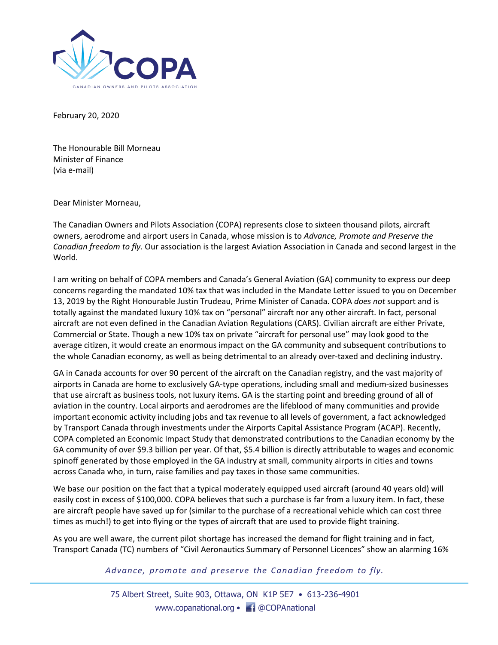

February 20, 2020

The Honourable Bill Morneau Minister of Finance (via e-mail)

Dear Minister Morneau,

The Canadian Owners and Pilots Association (COPA) represents close to sixteen thousand pilots, aircraft owners, aerodrome and airport users in Canada, whose mission is to *Advance, Promote and Preserve the Canadian freedom to fly*. Our association is the largest Aviation Association in Canada and second largest in the World.

I am writing on behalf of COPA members and Canada's General Aviation (GA) community to express our deep concerns regarding the mandated 10% tax that was included in the Mandate Letter issued to you on December 13, 2019 by the Right Honourable Justin Trudeau, Prime Minister of Canada. COPA *does not* support and is totally against the mandated luxury 10% tax on "personal" aircraft nor any other aircraft. In fact, personal aircraft are not even defined in the Canadian Aviation Regulations (CARS). Civilian aircraft are either Private, Commercial or State. Though a new 10% tax on private "aircraft for personal use" may look good to the average citizen, it would create an enormous impact on the GA community and subsequent contributions to the whole Canadian economy, as well as being detrimental to an already over-taxed and declining industry.

GA in Canada accounts for over 90 percent of the aircraft on the Canadian registry, and the vast majority of airports in Canada are home to exclusively GA-type operations, including small and medium-sized businesses that use aircraft as business tools, not luxury items. GA is the starting point and breeding ground of all of aviation in the country. Local airports and aerodromes are the lifeblood of many communities and provide important economic activity including jobs and tax revenue to all levels of government, a fact acknowledged by Transport Canada through investments under the Airports Capital Assistance Program (ACAP). Recently, COPA completed an Economic Impact Study that demonstrated contributions to the Canadian economy by the GA community of over \$9.3 billion per year. Of that, \$5.4 billion is directly attributable to wages and economic spinoff generated by those employed in the GA industry at small, community airports in cities and towns across Canada who, in turn, raise families and pay taxes in those same communities.

We base our position on the fact that a typical moderately equipped used aircraft (around 40 years old) will easily cost in excess of \$100,000. COPA believes that such a purchase is far from a luxury item. In fact, these are aircraft people have saved up for (similar to the purchase of a recreational vehicle which can cost three times as much!) to get into flying or the types of aircraft that are used to provide flight training.

As you are well aware, the current pilot shortage has increased the demand for flight training and in fact, Transport Canada (TC) numbers of "Civil Aeronautics Summary of Personnel Licences" show an alarming 16%

*Advance, promote and preserve the Canadian freedom to fly.*